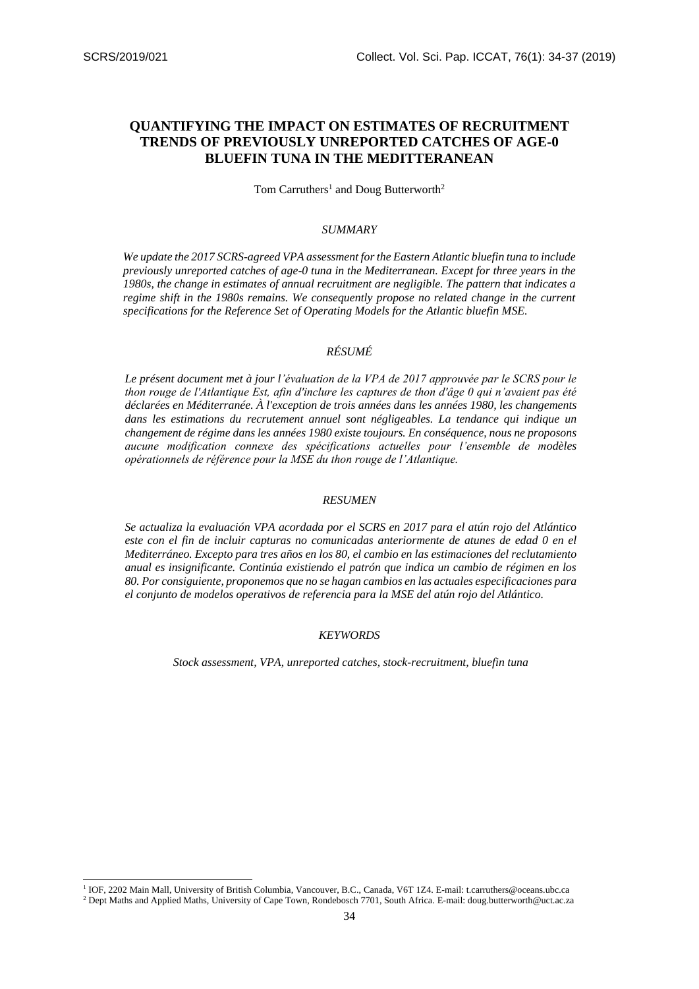-

# **QUANTIFYING THE IMPACT ON ESTIMATES OF RECRUITMENT TRENDS OF PREVIOUSLY UNREPORTED CATCHES OF AGE-0 BLUEFIN TUNA IN THE MEDITTERANEAN**

Tom Carruthers<sup>1</sup> and Doug Butterworth<sup>2</sup>

#### *SUMMARY*

*We update the 2017 SCRS-agreed VPA assessment for the Eastern Atlantic bluefin tuna to include previously unreported catches of age-0 tuna in the Mediterranean. Except for three years in the 1980s, the change in estimates of annual recruitment are negligible. The pattern that indicates a regime shift in the 1980s remains. We consequently propose no related change in the current specifications for the Reference Set of Operating Models for the Atlantic bluefin MSE.*

# *RÉSUMÉ*

*Le présent document met à jour l'évaluation de la VPA de 2017 approuvée par le SCRS pour le thon rouge de l'Atlantique Est, afin d'inclure les captures de thon d'âge 0 qui n'avaient pas été déclarées en Méditerranée. À l'exception de trois années dans les années 1980, les changements*  dans les estimations du recrutement annuel sont négligeables. La tendance qui indique un *changement de régime dans les années 1980 existe toujours. En conséquence, nous ne proposons aucune modification connexe des spécifications actuelles pour l'ensemble de modèles opérationnels de référence pour la MSE du thon rouge de l'Atlantique.* 

#### *RESUMEN*

*Se actualiza la evaluación VPA acordada por el SCRS en 2017 para el atún rojo del Atlántico*  este con el fin de incluir capturas no comunicadas anteriormente de atunes de edad 0 en el *Mediterráneo. Excepto para tres años en los 80, el cambio en las estimaciones del reclutamiento anual es insignificante. Continúa existiendo el patrón que indica un cambio de régimen en los 80. Por consiguiente, proponemos que no se hagan cambios en las actuales especificaciones para el conjunto de modelos operativos de referencia para la MSE del atún rojo del Atlántico.* 

### *KEYWORDS*

*Stock assessment, VPA, unreported catches, stock-recruitment, bluefin tuna*

<sup>&</sup>lt;sup>1</sup> IOF, 2202 Main Mall, University of British Columbia, Vancouver, B.C., Canada, V6T 1Z4. E-mail: [t.carruthers@oceans.ubc.ca](mailto:t.carruthers@oceans.ubc.ca) <sup>2</sup> Dept Maths and Applied Maths, University of Cape Town, Rondebosch 7701, South Africa. E-mail[: doug.butterworth@uct.ac.za](mailto:doug.butterworth@uct.ac.za)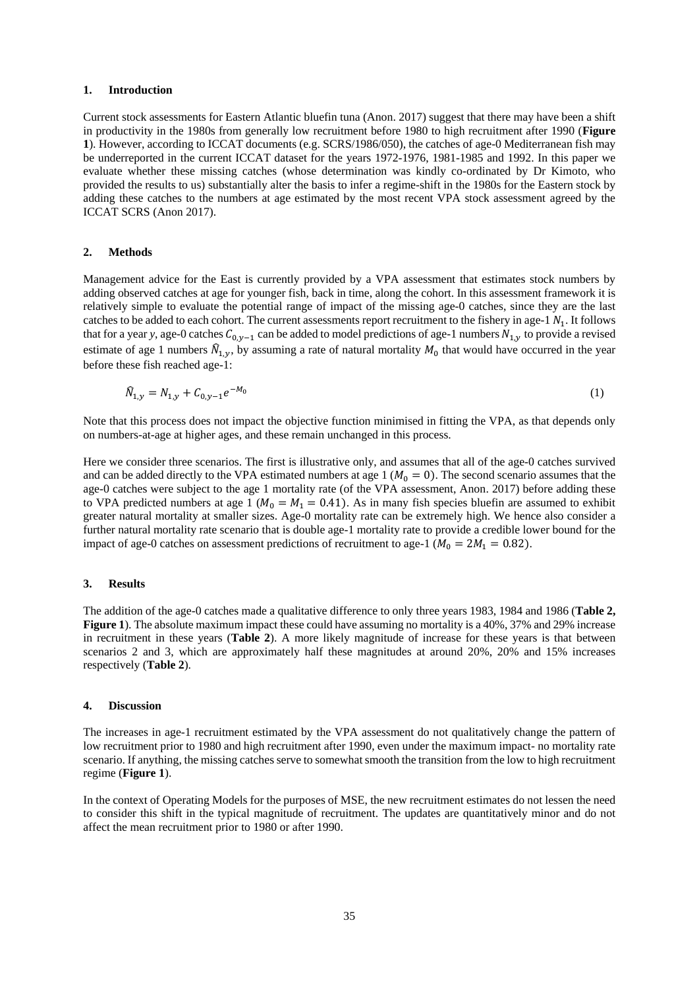#### **1. Introduction**

Current stock assessments for Eastern Atlantic bluefin tuna (Anon. 2017) suggest that there may have been a shift in productivity in the 1980s from generally low recruitment before 1980 to high recruitment after 1990 (**Figure 1**). However, according to ICCAT documents (e.g. SCRS/1986/050), the catches of age-0 Mediterranean fish may be underreported in the current ICCAT dataset for the years 1972-1976, 1981-1985 and 1992. In this paper we evaluate whether these missing catches (whose determination was kindly co-ordinated by Dr Kimoto, who provided the results to us) substantially alter the basis to infer a regime-shift in the 1980s for the Eastern stock by adding these catches to the numbers at age estimated by the most recent VPA stock assessment agreed by the ICCAT SCRS (Anon 2017).

#### **2. Methods**

Management advice for the East is currently provided by a VPA assessment that estimates stock numbers by adding observed catches at age for younger fish, back in time, along the cohort. In this assessment framework it is relatively simple to evaluate the potential range of impact of the missing age-0 catches, since they are the last catches to be added to each cohort. The current assessments report recruitment to the fishery in age-1  $N_1$ . It follows that for a year *y*, age-0 catches  $C_{0,v-1}$  can be added to model predictions of age-1 numbers  $N_{1,v}$  to provide a revised estimate of age 1 numbers  $\hat{N}_{1,y}$ , by assuming a rate of natural mortality  $M_0$  that would have occurred in the year before these fish reached age-1:

$$
\widehat{N}_{1,y} = N_{1,y} + C_{0,y-1}e^{-M_0}
$$
\n(1)

Note that this process does not impact the objective function minimised in fitting the VPA, as that depends only on numbers-at-age at higher ages, and these remain unchanged in this process.

Here we consider three scenarios. The first is illustrative only, and assumes that all of the age-0 catches survived and can be added directly to the VPA estimated numbers at age 1 ( $M_0 = 0$ ). The second scenario assumes that the age-0 catches were subject to the age 1 mortality rate (of the VPA assessment, Anon. 2017) before adding these to VPA predicted numbers at age 1 ( $M_0 = M_1 = 0.41$ ). As in many fish species bluefin are assumed to exhibit greater natural mortality at smaller sizes. Age-0 mortality rate can be extremely high. We hence also consider a further natural mortality rate scenario that is double age-1 mortality rate to provide a credible lower bound for the impact of age-0 catches on assessment predictions of recruitment to age-1 ( $M_0 = 2M_1 = 0.82$ ).

## **3. Results**

The addition of the age-0 catches made a qualitative difference to only three years 1983, 1984 and 1986 (**Table 2, Figure 1**). The absolute maximum impact these could have assuming no mortality is a 40%, 37% and 29% increase in recruitment in these years (**Table 2**). A more likely magnitude of increase for these years is that between scenarios 2 and 3, which are approximately half these magnitudes at around 20%, 20% and 15% increases respectively (**Table 2**).

#### **4. Discussion**

The increases in age-1 recruitment estimated by the VPA assessment do not qualitatively change the pattern of low recruitment prior to 1980 and high recruitment after 1990, even under the maximum impact- no mortality rate scenario. If anything, the missing catches serve to somewhat smooth the transition from the low to high recruitment regime (**Figure 1**).

In the context of Operating Models for the purposes of MSE, the new recruitment estimates do not lessen the need to consider this shift in the typical magnitude of recruitment. The updates are quantitatively minor and do not affect the mean recruitment prior to 1980 or after 1990.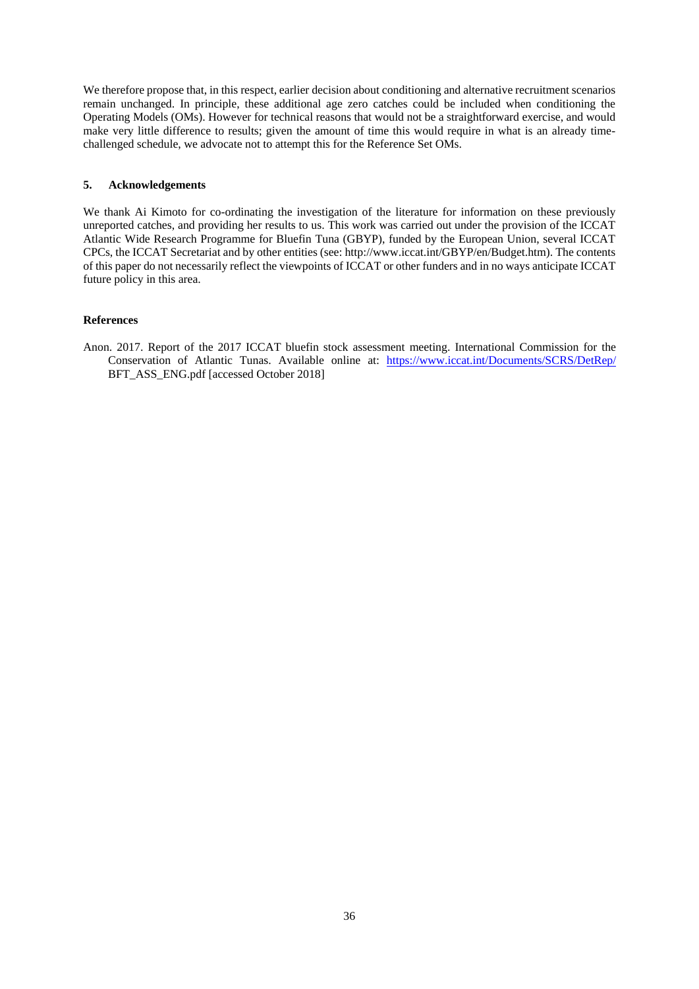We therefore propose that, in this respect, earlier decision about conditioning and alternative recruitment scenarios remain unchanged. In principle, these additional age zero catches could be included when conditioning the Operating Models (OMs). However for technical reasons that would not be a straightforward exercise, and would make very little difference to results; given the amount of time this would require in what is an already timechallenged schedule, we advocate not to attempt this for the Reference Set OMs.

# **5. Acknowledgements**

We thank Ai Kimoto for co-ordinating the investigation of the literature for information on these previously unreported catches, and providing her results to us. This work was carried out under the provision of the ICCAT Atlantic Wide Research Programme for Bluefin Tuna (GBYP), funded by the European Union, several ICCAT CPCs, the ICCAT Secretariat and by other entities (see: http://www.iccat.int/GBYP/en/Budget.htm). The contents of this paper do not necessarily reflect the viewpoints of ICCAT or other funders and in no ways anticipate ICCAT future policy in this area.

# **References**

Anon. 2017. Report of the 2017 ICCAT bluefin stock assessment meeting. International Commission for the Conservation of Atlantic Tunas. Available online at: <https://www.iccat.int/Documents/SCRS/DetRep/> BFT\_ASS\_ENG.pdf [accessed October 2018]